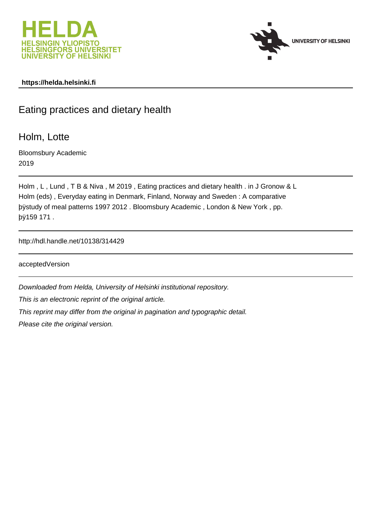



## **https://helda.helsinki.fi**

# Eating practices and dietary health

Holm, Lotte

Bloomsbury Academic 2019

```
Holm , L , Lund , T B & Niva , M 2019 , Eating practices and dietary health . in J Gronow & L
Holm (eds) , Everyday eating in Denmark, Finland, Norway and Sweden : A comparative
þÿstudy of meal patterns 1997 2012 . Bloomsbury Academic, London & N
þÿ159 171 .
```
http://hdl.handle.net/10138/314429

acceptedVersion

Downloaded from Helda, University of Helsinki institutional repository.

This is an electronic reprint of the original article.

This reprint may differ from the original in pagination and typographic detail.

Please cite the original version.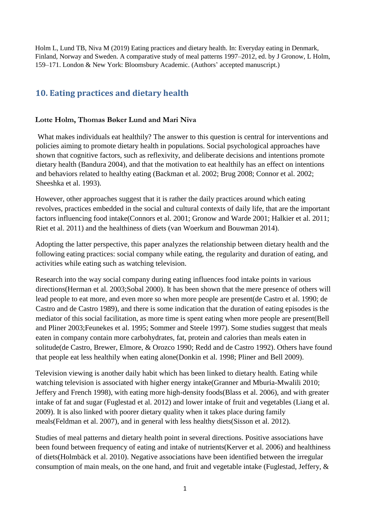Holm L, Lund TB, Niva M (2019) Eating practices and dietary health. In: Everyday eating in Denmark, Finland, Norway and Sweden. A comparative study of meal patterns 1997–2012, ed. by J Gronow, L Holm, 159–171. London & New York: Bloomsbury Academic. (Authors' accepted manuscript.)

# **10. Eating practices and dietary health**

# **Lotte Holm, Thomas Bøker Lund and Mari Niva**

What makes individuals eat healthily? The answer to this question is central for interventions and policies aiming to promote dietary health in populations. Social psychological approaches have shown that cognitive factors, such as reflexivity, and deliberate decisions and intentions promote dietary health (Bandura 2004), and that the motivation to eat healthily has an effect on intentions and behaviors related to healthy eating (Backman et al. 2002; Brug 2008; Connor et al. 2002; Sheeshka et al. 1993).

However, other approaches suggest that it is rather the daily practices around which eating revolves, practices embedded in the social and cultural contexts of daily life, that are the important factors influencing food intake(Connors et al. 2001; Gronow and Warde 2001; Halkier et al. 2011; Riet et al. 2011) and the healthiness of diets (van Woerkum and Bouwman 2014).

Adopting the latter perspective, this paper analyzes the relationship between dietary health and the following eating practices: social company while eating, the regularity and duration of eating, and activities while eating such as watching television.

Research into the way social company during eating influences food intake points in various directions(Herman et al. 2003;Sobal 2000). It has been shown that the mere presence of others will lead people to eat more, and even more so when more people are present(de Castro et al. 1990; de Castro and de Castro 1989), and there is some indication that the duration of eating episodes is the mediator of this social facilitation, as more time is spent eating when more people are present(Bell and Pliner 2003;Feunekes et al. 1995; Sommer and Steele 1997). Some studies suggest that meals eaten in company contain more carbohydrates, fat, protein and calories than meals eaten in solitude(de Castro, Brewer, Elmore, & Orozco 1990; Redd and de Castro 1992). Others have found that people eat less healthily when eating alone(Donkin et al. 1998; Pliner and Bell 2009).

Television viewing is another daily habit which has been linked to dietary health. Eating while watching television is associated with higher energy intake(Granner and Mburia-Mwalili 2010; Jeffery and French 1998), with eating more high-density foods(Blass et al. 2006), and with greater intake of fat and sugar (Fuglestad et al. 2012) and lower intake of fruit and vegetables (Liang et al. 2009). It is also linked with poorer dietary quality when it takes place during family meals(Feldman et al. 2007), and in general with less healthy diets(Sisson et al. 2012).

Studies of meal patterns and dietary health point in several directions. Positive associations have been found between frequency of eating and intake of nutrients(Kerver et al. 2006) and healthiness of diets(Holmbäck et al. 2010). Negative associations have been identified between the irregular consumption of main meals, on the one hand, and fruit and vegetable intake (Fuglestad, Jeffery, &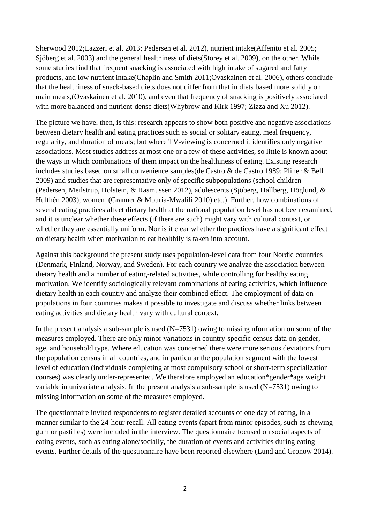Sherwood 2012;Lazzeri et al. 2013; Pedersen et al. 2012), nutrient intake(Affenito et al. 2005; Sjöberg et al. 2003) and the general healthiness of diets(Storey et al. 2009), on the other. While some studies find that frequent snacking is associated with high intake of sugared and fatty products, and low nutrient intake(Chaplin and Smith 2011;Ovaskainen et al. 2006), others conclude that the healthiness of snack-based diets does not differ from that in diets based more solidly on main meals,(Ovaskainen et al. 2010), and even that frequency of snacking is positively associated with more balanced and nutrient-dense diets(Whybrow and Kirk 1997; Zizza and Xu 2012).

The picture we have, then, is this: research appears to show both positive and negative associations between dietary health and eating practices such as social or solitary eating, meal frequency, regularity, and duration of meals; but where TV-viewing is concerned it identifies only negative associations. Most studies address at most one or a few of these activities, so little is known about the ways in which combinations of them impact on the healthiness of eating. Existing research includes studies based on small convenience samples(de Castro & de Castro 1989; Pliner & Bell 2009) and studies that are representative only of specific subpopulations (school children (Pedersen, Meilstrup, Holstein, & Rasmussen 2012), adolescents (Sjöberg, Hallberg, Höglund, & Hulthén 2003), women (Granner & Mburia-Mwalili 2010) etc.) Further, how combinations of several eating practices affect dietary health at the national population level has not been examined, and it is unclear whether these effects (if there are such) might vary with cultural context, or whether they are essentially uniform. Nor is it clear whether the practices have a significant effect on dietary health when motivation to eat healthily is taken into account.

Against this background the present study uses population-level data from four Nordic countries (Denmark, Finland, Norway, and Sweden). For each country we analyze the association between dietary health and a number of eating-related activities, while controlling for healthy eating motivation. We identify sociologically relevant combinations of eating activities, which influence dietary health in each country and analyze their combined effect. The employment of data on populations in four countries makes it possible to investigate and discuss whether links between eating activities and dietary health vary with cultural context.

In the present analysis a sub-sample is used  $(N=7531)$  owing to missing nformation on some of the measures employed. There are only minor variations in country-specific census data on gender, age, and household type. Where education was concerned there were more serious deviations from the population census in all countries, and in particular the population segment with the lowest level of education (individuals completing at most compulsory school or short-term specialization courses) was clearly under-represented. We therefore employed an education\*gender\*age weight variable in univariate analysis. In the present analysis a sub-sample is used  $(N=7531)$  owing to missing information on some of the measures employed.

The questionnaire invited respondents to register detailed accounts of one day of eating, in a manner similar to the 24-hour recall. All eating events (apart from minor episodes, such as chewing gum or pastilles) were included in the interview. The questionnaire focused on social aspects of eating events, such as eating alone/socially, the duration of events and activities during eating events. Further details of the questionnaire have been reported elsewhere (Lund and Gronow 2014).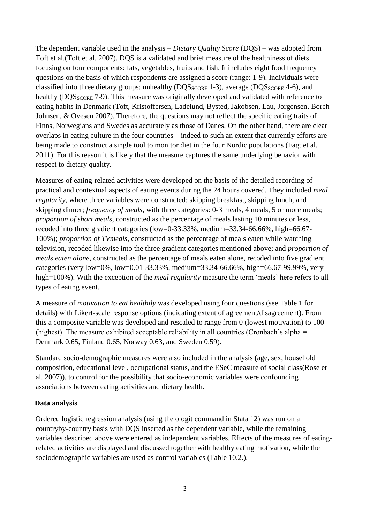The dependent variable used in the analysis – *Dietary Quality Score* (DQS) – was adopted from Toft et al.(Toft et al. 2007). DQS is a validated and brief measure of the healthiness of diets focusing on four components: fats, vegetables, fruits and fish. It includes eight food frequency questions on the basis of which respondents are assigned a score (range: 1-9). Individuals were classified into three dietary groups: unhealthy (DQS<sub>SCORE</sub> 1-3), average (DQS<sub>SCORE</sub> 4-6), and healthy (DQS<sub>SCORE</sub> 7-9). This measure was originally developed and validated with reference to eating habits in Denmark (Toft, Kristoffersen, Ladelund, Bysted, Jakobsen, Lau, Jorgensen, Borch-Johnsen, & Ovesen 2007). Therefore, the questions may not reflect the specific eating traits of Finns, Norwegians and Swedes as accurately as those of Danes. On the other hand, there are clear overlaps in eating culture in the four countries – indeed to such an extent that currently efforts are being made to construct a single tool to monitor diet in the four Nordic populations (Fagt et al. 2011). For this reason it is likely that the measure captures the same underlying behavior with respect to dietary quality.

Measures of eating-related activities were developed on the basis of the detailed recording of practical and contextual aspects of eating events during the 24 hours covered. They included *meal regularity*, where three variables were constructed: skipping breakfast, skipping lunch, and skipping dinner; *frequency of meals*, with three categories: 0-3 meals, 4 meals, 5 or more meals; *proportion of short meals*, constructed as the percentage of meals lasting 10 minutes or less, recoded into three gradient categories (low=0-33.33%, medium=33.34-66.66%, high=66.67- 100%); *proportion of TVmeals,* constructed as the percentage of meals eaten while watching television, recoded likewise into the three gradient categories mentioned above; and *proportion of meals eaten alone*, constructed as the percentage of meals eaten alone, recoded into five gradient categories (very low=0%, low=0.01-33.33%, medium=33.34-66.66%, high=66.67-99.99%, very high=100%). With the exception of the *meal regularity* measure the term 'meals' here refers to all types of eating event.

A measure of *motivation to eat healthily* was developed using four questions (see Table 1 for details) with Likert-scale response options (indicating extent of agreement/disagreement). From this a composite variable was developed and rescaled to range from 0 (lowest motivation) to 100 (highest). The measure exhibited acceptable reliability in all countries (Cronbach's alpha = Denmark 0.65, Finland 0.65, Norway 0.63, and Sweden 0.59).

Standard socio-demographic measures were also included in the analysis (age, sex, household composition, educational level, occupational status, and the ESeC measure of social class(Rose et al. 2007)), to control for the possibility that socio-economic variables were confounding associations between eating activities and dietary health.

# **Data analysis**

Ordered logistic regression analysis (using the ologit command in Stata 12) was run on a countryby-country basis with DQS inserted as the dependent variable, while the remaining variables described above were entered as independent variables. Effects of the measures of eatingrelated activities are displayed and discussed together with healthy eating motivation, while the sociodemographic variables are used as control variables (Table 10.2.).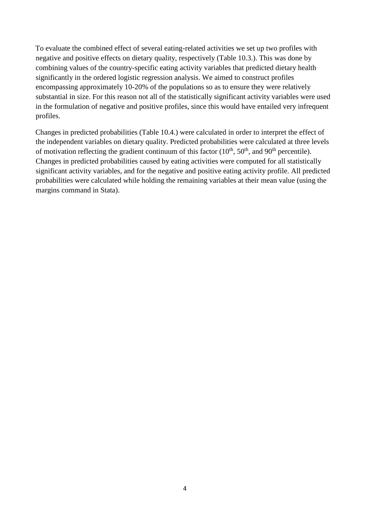To evaluate the combined effect of several eating-related activities we set up two profiles with negative and positive effects on dietary quality, respectively (Table 10.3.). This was done by combining values of the country-specific eating activity variables that predicted dietary health significantly in the ordered logistic regression analysis. We aimed to construct profiles encompassing approximately 10-20% of the populations so as to ensure they were relatively substantial in size. For this reason not all of the statistically significant activity variables were used in the formulation of negative and positive profiles, since this would have entailed very infrequent profiles.

Changes in predicted probabilities (Table 10.4.) were calculated in order to interpret the effect of the independent variables on dietary quality. Predicted probabilities were calculated at three levels of motivation reflecting the gradient continuum of this factor  $(10^{th}, 50^{th},$  and  $90^{th}$  percentile). Changes in predicted probabilities caused by eating activities were computed for all statistically significant activity variables, and for the negative and positive eating activity profile. All predicted probabilities were calculated while holding the remaining variables at their mean value (using the margins command in Stata).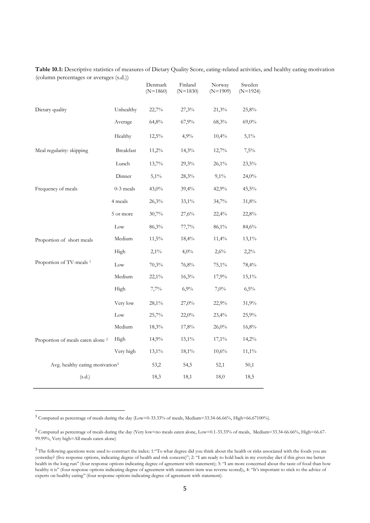|                                              |             | Denmark<br>$(N=1860)$ | Finland<br>$(N=1830)$ | Norway<br>$(N=1909)$ | Sweden<br>$(N=1924)$ |
|----------------------------------------------|-------------|-----------------------|-----------------------|----------------------|----------------------|
| Dietary quality                              | Unhealthy   | 22,7%                 | 27,3%                 | 21,3%                | 25,8%                |
|                                              | Average     | 64,8%                 | 67,9%                 | 68,3%                | 69,0%                |
|                                              | Healthy     | 12,5%                 | 4,9%                  | 10,4%                | $5,1\%$              |
| Meal regularity: skipping                    | Breakfast   | 11,2%                 | 14,3%                 | 12,7%                | 7,5%                 |
|                                              | Lunch       | 13,7%                 | 29,3%                 | $26,1\%$             | 23,5%                |
|                                              | Dinner      | $5,1\%$               | 28,3%                 | $9,1\%$              | 24,0%                |
| Frequency of meals                           | $0-3$ meals | 43,0%                 | 39,4%                 | 42,9%                | 45,5%                |
|                                              | 4 meals     | 26,3%                 | $33,1\%$              | 34,7%                | 31,8%                |
|                                              | 5 or more   | 30,7%                 | 27,6%                 | 22,4%                | 22,8%                |
|                                              | Low         | 86,3%                 | 77,7%                 | 86,1%                | 84,6%                |
| Proportion of short meals                    | Medium      | 11,5%                 | 18,4%                 | 11,4%                | 13,1%                |
|                                              | High        | $2,1\%$               | $4,0\%$               | 2,6%                 | 2,2%                 |
| Proportion of TV-meals <sup>1</sup>          | Low         | 70,3%                 | 76,8%                 | $75,1\%$             | 78,4%                |
|                                              | Medium      | $22,1\%$              | 16,3%                 | 17,9%                | $15,1\%$             |
|                                              | High        | 7,7%                  | 6,9%                  | $7,0\%$              | 6,5%                 |
|                                              | Very low    | 28,1%                 | 27,0%                 | 22,9%                | 31,9%                |
|                                              | Low         | 25,7%                 | 22,0%                 | 23,4%                | 25,9%                |
|                                              | Medium      | 18,3%                 | 17,8%                 | 26,0%                | 16,8%                |
| Proportion of meals eaten alone <sup>2</sup> | High        | 14,9%                 | 15,1%                 | $17,1\%$             | 14,2%                |
|                                              | Very high   | 13,1%                 | 18,1%                 | 10,6%                | $11,1\%$             |
| Avg. healthy eating motivation <sup>3</sup>  |             | 53,2                  | 54,5                  | 52,1                 | 50,1                 |
| (s.d.)                                       |             | 18,3                  | 18,1                  | 18,0                 | 18,5                 |
|                                              |             |                       |                       |                      |                      |

**Table 10.1:** Descriptive statistics of measures of Dietary Quality Score, eating-related activities, and healthy eating motivation (column percentages or averages (s.d.))

 $1$  Computed as percentage of meals during the day (Low=0-33.33% of meals, Medium=33.34-66.66%, High=66.67100%).

**.** 

<sup>&</sup>lt;sup>2</sup> Computed as percentage of meals during the day (Very low=no meals eaten alone, Low=0.1-33.33% of meals, Medium=33.34-66.66%, High=66.67-99.99%, Very high=All meals eaten alone)

<sup>&</sup>lt;sup>3</sup> The following questions were used to construct the index: 1: To what degree did you think about the health or risks associated with the foods you ate yesterday? (five response options, indicating degree of health and risk concern)"; 2: "I am ready to hold back in my everyday diet if this gives me better health in the long run" (four response options indicating degree of agreement with statement); 3: "I am more concerned about the taste of food than how healthy it is" (four response options indicating degree of agreement with statement-item was reverse scored);, 4: "It's important to stick to the advice of experts on healthy eating" (four response options indicating degree of agreement with statement).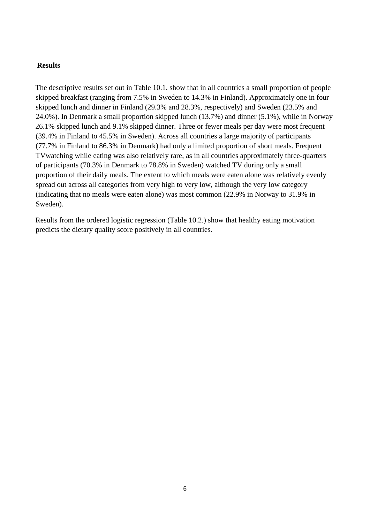#### **Results**

The descriptive results set out in Table 10.1. show that in all countries a small proportion of people skipped breakfast (ranging from 7.5% in Sweden to 14.3% in Finland). Approximately one in four skipped lunch and dinner in Finland (29.3% and 28.3%, respectively) and Sweden (23.5% and 24.0%). In Denmark a small proportion skipped lunch (13.7%) and dinner (5.1%), while in Norway 26.1% skipped lunch and 9.1% skipped dinner. Three or fewer meals per day were most frequent (39.4% in Finland to 45.5% in Sweden). Across all countries a large majority of participants (77.7% in Finland to 86.3% in Denmark) had only a limited proportion of short meals. Frequent TVwatching while eating was also relatively rare, as in all countries approximately three-quarters of participants (70.3% in Denmark to 78.8% in Sweden) watched TV during only a small proportion of their daily meals. The extent to which meals were eaten alone was relatively evenly spread out across all categories from very high to very low, although the very low category (indicating that no meals were eaten alone) was most common (22.9% in Norway to 31.9% in Sweden).

Results from the ordered logistic regression (Table 10.2.) show that healthy eating motivation predicts the dietary quality score positively in all countries.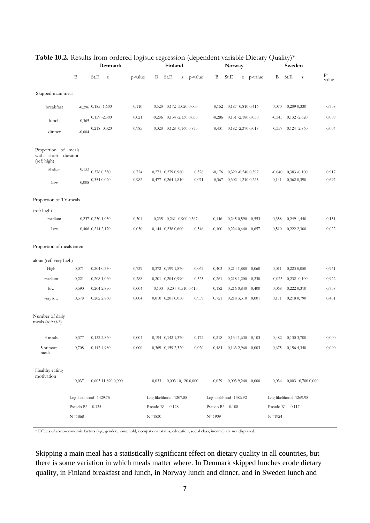|                                                              |                         |                           | Denmark            |         | Finland                 |                               |                    |                    | Norway                  |             | Sweden                |                         |      |                    |             |
|--------------------------------------------------------------|-------------------------|---------------------------|--------------------|---------|-------------------------|-------------------------------|--------------------|--------------------|-------------------------|-------------|-----------------------|-------------------------|------|--------------------|-------------|
|                                                              | B                       | St.E                      | $\bf{z}$           | p-value | В                       | St.E                          |                    | z p-value          | B                       | St.E        | z p-value             | Β                       | St.E | $\bf{z}$           | p-<br>value |
| Skipped main meal                                            |                         |                           |                    |         |                         |                               |                    |                    |                         |             |                       |                         |      |                    |             |
| breakfast                                                    |                         | $-0,296$ $0,185$ $-1,600$ |                    | 0,110   | $-0,520$                | $0,172 - 3,0200,003$          |                    |                    | $-0,152$                |             | 0,187 -0,810 0,416    | 0,070                   |      | 0,209 0,330        | 0,738       |
| lunch                                                        | $-0,365$                | $0,159 - 2,300$           |                    | 0,021   | $-0,286$                |                               | 0,134 -2,130 0,033 |                    | $-0,286$                |             | 0,131 -2,180 0,030    | $-0,345$                |      | $0,132 -2,620$     | 0,009       |
| dinner                                                       | $-0,004$                | $0,218 - 0,020$           |                    | 0,985   | $-0,020$                |                               | 0,128 -0,160 0,875 |                    | $-0,431$                |             | 0,182 -2,370 0,018    | $-0,357$                |      | $0,124 - 2,860$    | 0,004       |
| Proportion of meals<br>short duration<br>with<br>(ref: high) |                         |                           |                    |         |                         |                               |                    |                    |                         |             |                       |                         |      |                    |             |
| Medium                                                       | 0,133                   | 0,376 0,350               |                    | 0,724   |                         | 0,273 0,279 0,980             |                    | 0,328              | $-0,176$                |             | 0,329 -0,540 0,592    | $-0,040$                |      | $0,383 -0,100$     | 0,917       |
| Low                                                          | 0,008                   | 0,354 0,020               |                    | 0,982   |                         | 0,477 0,264 1,810             |                    | 0,071              | $-0,367$                |             | 0,302 -1,210 0,225    | 0,141                   |      | 0,362 0,390        | 0,697       |
| Proportion of TV-meals                                       |                         |                           |                    |         |                         |                               |                    |                    |                         |             |                       |                         |      |                    |             |
| (ref: high)                                                  |                         |                           |                    |         |                         |                               |                    |                    |                         |             |                       |                         |      |                    |             |
| medium                                                       |                         | 0,237 0,230 1,030         |                    | 0,304   |                         | $-0,235$ 0,261 $-0,900$ 0,367 |                    |                    | 0,146                   | 0,245 0,590 | 0,553                 | 0,358                   |      | 0,249 1,440        | 0,151       |
| Low                                                          |                         | 0,466 0,214 2,170         |                    | 0,030   |                         | 0,144 0,238 0,600             |                    | 0,546              | 0,100                   |             | 0,224 0,440 0,657     | 0,510                   |      | 0,222 2,300        | 0,022       |
| Proportion of meals eaten                                    |                         |                           |                    |         |                         |                               |                    |                    |                         |             |                       |                         |      |                    |             |
| alone (ref: very high)                                       |                         |                           |                    |         |                         |                               |                    |                    |                         |             |                       |                         |      |                    |             |
| High                                                         | 0,071                   | 0,204 0,350               |                    | 0,729   |                         | 0,372 0,199 1,870             |                    | 0,062              | 0,403                   |             | 0,214 1,880 0,060     | 0,011                   |      | 0,223 0,050        | 0,961       |
| medium                                                       | 0,221                   | 0,208 1,060               |                    | 0,288   |                         | 0,201 0,204 0,990             |                    | 0,325              | 0,261                   |             | 0,218 1,200 0,230     | $-0,023$                |      | $0,232 -0,100$     | 0,922       |
| $_{\text{low}}$                                              | 0,590                   | 0,204 2,890               |                    | 0,004   |                         | $-0,103$ 0,204 $-0,510$ 0,613 |                    |                    | 0,182                   |             | 0,216 0,840 0,400     | 0,068                   |      | 0,222 0,310        | 0,758       |
| very low                                                     | 0,578                   | 0,202 2,860               |                    | 0,004   |                         | 0,010 0,201 0,050             |                    | 0,959              | 0,721                   |             | 0,218 3,310 0,001     | 0,171                   |      | 0,218 0,790        | 0,431       |
| Number of daily<br>meals (ref: 0-3)                          |                         |                           |                    |         |                         |                               |                    |                    |                         |             |                       |                         |      |                    |             |
| 4 meals                                                      | 0,377                   | 0,132 2,860               |                    | 0,004   |                         | 0,194 0,142 1,370             |                    | 0,172              | 0,218                   |             | $0,134$ 1,630 $0,103$ | 0,482                   |      | 0,130 3,700        | 0,000       |
| 5 or more<br>meals                                           | 0,708                   | 0,142 4,980               |                    | 0,000   |                         | 0,369 0,159 2,320             |                    | 0,020              | 0,484                   |             | $0,1632,960$ $0,003$  | 0,675                   |      | 0,156 4,340        | 0,000       |
| Healthy eating<br>motivation                                 | 0,037                   |                           | 0,003 11,890 0,000 |         | 0,033                   |                               |                    | 0,003 10,120 0,000 | 0,029                   |             | $0,003$ 9,240 $0,000$ | 0,034                   |      | 0,003 10,780 0,000 |             |
|                                                              | Log-likelihood -1429.75 |                           |                    |         | Log-likelihood -1207.88 |                               |                    |                    | Log-likelihood -1386.92 |             |                       | Log-likelihood -1269.98 |      |                    |             |
|                                                              | Pseudo $R^2 = 0.135$    |                           |                    |         | Pseudo $R^2 = 0.128$    |                               |                    |                    | Pseudo $R^2 = 0.108$    |             |                       | Pseudo $R^2 = 0.117$    |      |                    |             |
|                                                              | $N = 1868$              |                           |                    |         | $N = 1830$              |                               |                    |                    | $N = 1909$              |             |                       | $N = 1924$              |      |                    |             |
|                                                              |                         |                           |                    |         |                         |                               |                    |                    |                         |             |                       |                         |      |                    |             |

## Table 10.2. Results from ordered logistic regression (dependent variable Dietary Quality)\*

\* Effects of socio-economic factors (age, gender, household, occupational status, education, social class, income) are not displayed.

Skipping a main meal has a statistically significant effect on dietary quality in all countries, but there is some variation in which meals matter where. In Denmark skipped lunches erode dietary quality, in Finland breakfast and lunch, in Norway lunch and dinner, and in Sweden lunch and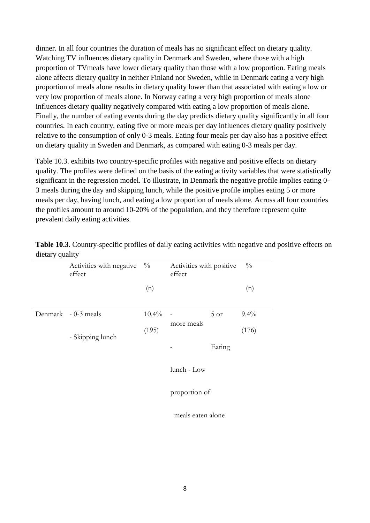dinner. In all four countries the duration of meals has no significant effect on dietary quality. Watching TV influences dietary quality in Denmark and Sweden, where those with a high proportion of TVmeals have lower dietary quality than those with a low proportion. Eating meals alone affects dietary quality in neither Finland nor Sweden, while in Denmark eating a very high proportion of meals alone results in dietary quality lower than that associated with eating a low or very low proportion of meals alone. In Norway eating a very high proportion of meals alone influences dietary quality negatively compared with eating a low proportion of meals alone. Finally, the number of eating events during the day predicts dietary quality significantly in all four countries. In each country, eating five or more meals per day influences dietary quality positively relative to the consumption of only 0-3 meals. Eating four meals per day also has a positive effect on dietary quality in Sweden and Denmark, as compared with eating 0-3 meals per day.

Table 10.3. exhibits two country-specific profiles with negative and positive effects on dietary quality. The profiles were defined on the basis of the eating activity variables that were statistically significant in the regression model. To illustrate, in Denmark the negative profile implies eating 0- 3 meals during the day and skipping lunch, while the positive profile implies eating 5 or more meals per day, having lunch, and eating a low proportion of meals alone. Across all four countries the profiles amount to around 10-20% of the population, and they therefore represent quite prevalent daily eating activities.

| ັ່ | ↵                                  |               |                                    |        |               |
|----|------------------------------------|---------------|------------------------------------|--------|---------------|
|    | Activities with negative<br>effect | $\frac{0}{0}$ | Activities with positive<br>effect |        | $\frac{0}{0}$ |
|    |                                    | (n)           |                                    |        | (n)           |
|    | Denmark - 0-3 meals                | $10.4\%$      |                                    | 5 or   | 9.4%          |
|    | - Skipping lunch                   | (195)         | more meals                         |        | (176)         |
|    |                                    |               |                                    | Eating |               |
|    |                                    |               | lunch - Low                        |        |               |
|    |                                    |               | proportion of                      |        |               |

**Table 10.3.** Country-specific profiles of daily eating activities with negative and positive effects on dietary quality

meals eaten alone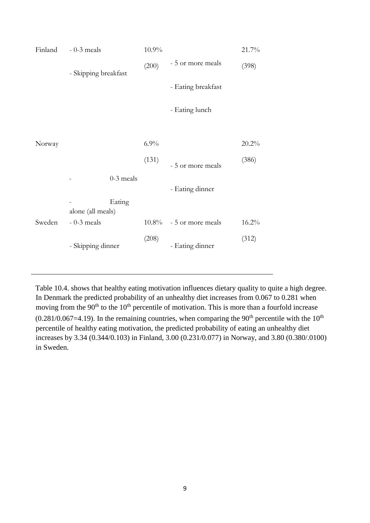| Finland | $-0-3$ meals         |             | 10.9%                              |                    | 21.7% |
|---------|----------------------|-------------|------------------------------------|--------------------|-------|
|         | - Skipping breakfast |             | (200)                              | - 5 or more meals  | (398) |
|         |                      |             | 6.9%<br>(131)<br>$10.8\%$<br>(208) | - Eating breakfast |       |
|         |                      |             |                                    | - Eating lunch     |       |
|         |                      |             |                                    |                    |       |
| Norway  |                      |             |                                    |                    | 20.2% |
|         |                      |             |                                    | - 5 or more meals  | (386) |
|         |                      | $0-3$ meals |                                    |                    |       |
|         |                      |             |                                    | - Eating dinner    |       |
|         | alone (all meals)    | Eating      |                                    |                    |       |
| Sweden  | $-0-3$ meals         |             |                                    | - 5 or more meals  | 16.2% |
|         | - Skipping dinner    |             |                                    | - Eating dinner    | (312) |

Table 10.4. shows that healthy eating motivation influences dietary quality to quite a high degree. In Denmark the predicted probability of an unhealthy diet increases from 0.067 to 0.281 when moving from the 90<sup>th</sup> to the 10<sup>th</sup> percentile of motivation. This is more than a fourfold increase  $(0.281/0.067=4.19)$ . In the remaining countries, when comparing the 90<sup>th</sup> percentile with the 10<sup>th</sup> percentile of healthy eating motivation, the predicted probability of eating an unhealthy diet increases by 3.34 (0.344/0.103) in Finland, 3.00 (0.231/0.077) in Norway, and 3.80 (0.380/.0100) in Sweden.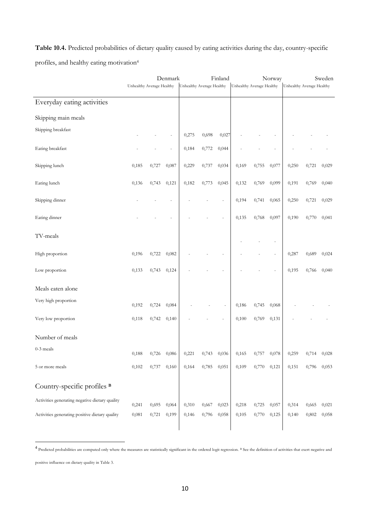**Table 10.4.** Predicted probabilities of dietary quality caused by eating activities during the day, country-specific profiles, and healthy eating motivation<sup>4</sup>

|                                                | Denmark                   |       |       |                           | Finland |       |                           |             | Norway | Sweden                    |       |       |  |
|------------------------------------------------|---------------------------|-------|-------|---------------------------|---------|-------|---------------------------|-------------|--------|---------------------------|-------|-------|--|
|                                                | Unhealthy Average Healthy |       |       | Unhealthy Average Healthy |         |       | Unhealthy Average Healthy |             |        | Unhealthy Average Healthy |       |       |  |
| Everyday eating activities                     |                           |       |       |                           |         |       |                           |             |        |                           |       |       |  |
| Skipping main meals                            |                           |       |       |                           |         |       |                           |             |        |                           |       |       |  |
| Skipping breakfast                             |                           |       |       | 0,275                     | 0,698   | 0,027 |                           |             |        |                           |       |       |  |
| Eating breakfast                               |                           |       | ä,    | 0,184                     | 0,772   | 0,044 |                           |             |        |                           |       |       |  |
| Skipping lunch                                 | 0,185                     | 0,727 | 0,087 | 0,229                     | 0,737   | 0,034 | 0,169                     | 0,755       | 0,077  | 0,250                     | 0,721 | 0,029 |  |
| Eating lunch                                   | 0,136                     | 0,743 | 0,121 | 0,182                     | 0,773   | 0,045 | 0,132                     | 0,769       | 0,099  | 0,191                     | 0,769 | 0,040 |  |
| Skipping dinner                                |                           |       |       |                           |         |       | 0,194                     | 0,741       | 0,065  | 0,250                     | 0,721 | 0,029 |  |
| Eating dinner                                  |                           |       |       |                           |         |       | 0,135                     | 0,768       | 0,097  | 0,190                     | 0,770 | 0,041 |  |
| TV-meals                                       |                           |       |       |                           |         |       |                           |             |        |                           |       |       |  |
| High proportion                                | 0,196                     | 0,722 | 0,082 |                           |         |       |                           |             |        | 0,287                     | 0,689 | 0,024 |  |
| Low proportion                                 | 0,133                     | 0,743 | 0,124 |                           |         |       |                           |             |        | 0,195                     | 0,766 | 0,040 |  |
| Meals eaten alone                              |                           |       |       |                           |         |       |                           |             |        |                           |       |       |  |
| Very high proportion                           | 0,192                     | 0,724 | 0,084 |                           |         |       | 0,186                     | 0,745       | 0,068  |                           |       |       |  |
| Very low proportion                            | 0,118                     | 0,742 | 0,140 |                           |         |       | 0,100                     | 0,769       | 0,131  |                           |       |       |  |
| Number of meals                                |                           |       |       |                           |         |       |                           |             |        |                           |       |       |  |
| $0-3$ meals                                    | 0,188                     | 0,726 | 0,086 | 0,221                     | 0,743   | 0,036 | 0,165                     | 0,727       | 0,078  | 0,259                     | 0,714 | 0,028 |  |
| 5 or more meals                                | 0,102                     | 0,737 | 0,160 | 0,164                     | 0,785   | 0,051 | 0,109                     | 0,770 0,121 |        | 0,151                     | 0,796 | 0,053 |  |
| Country-specific profiles <sup>B</sup>         |                           |       |       |                           |         |       |                           |             |        |                           |       |       |  |
| Activities generating negative dietary quality | 0,241                     | 0,695 | 0,064 | 0,310                     | 0,667   | 0,023 | 0,218                     | 0,725       | 0,057  | 0,314                     | 0,665 | 0,021 |  |
| Activities generating positive dietary quality | 0,081                     | 0,721 | 0,199 | 0,146                     | 0,796   | 0,058 | 0,105                     | 0,770       | 0,125  | 0,140                     | 0,802 | 0,058 |  |
|                                                |                           |       |       |                           |         |       |                           |             |        |                           |       |       |  |

<sup>4</sup> Predicted probabilities are computed only where the measures are statistically significant in the ordered logit regression. <sup>B</sup> See the definition of activities that exert negative and

positive influence on dietary quality in Table 3.

**.**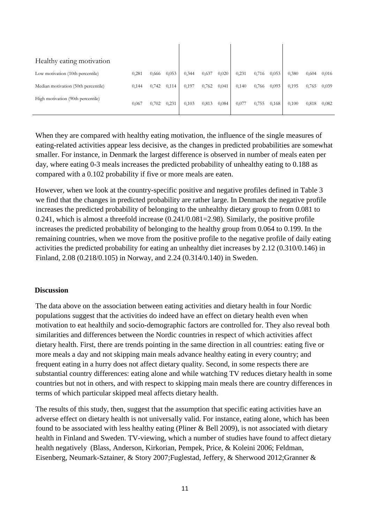| Healthy eating motivation           |       |       |       |       |       |       |       |       |       |       |       |       |
|-------------------------------------|-------|-------|-------|-------|-------|-------|-------|-------|-------|-------|-------|-------|
| Low motivation (10th percentile)    | 0,281 | 0,666 | 0,053 | 0,344 | 0,637 | 0,020 | 0,231 | 0,716 | 0,053 | 0,380 | 0,604 | 0,016 |
| Median motivation (50th percentile) | 0,144 | 0,742 | 0,114 | 0,197 | 0,762 | 0,041 | 0,140 | 0,766 | 0,093 | 0,195 | 0,765 | 0,039 |
| High motivation (90th percentile)   | 0,067 | 0,702 | 0,231 | 0,103 | 0,813 | 0,084 | 0,077 | 0,755 | 0,168 | 0,100 | 0,818 | 0,082 |

When they are compared with healthy eating motivation, the influence of the single measures of eating-related activities appear less decisive, as the changes in predicted probabilities are somewhat smaller. For instance, in Denmark the largest difference is observed in number of meals eaten per day, where eating 0-3 meals increases the predicted probability of unhealthy eating to 0.188 as compared with a 0.102 probability if five or more meals are eaten.

However, when we look at the country-specific positive and negative profiles defined in Table 3 we find that the changes in predicted probability are rather large. In Denmark the negative profile increases the predicted probability of belonging to the unhealthy dietary group to from 0.081 to 0.241, which is almost a threefold increase (0.241/0.081=2.98). Similarly, the positive profile increases the predicted probability of belonging to the healthy group from 0.064 to 0.199. In the remaining countries, when we move from the positive profile to the negative profile of daily eating activities the predicted probability for eating an unhealthy diet increases by 2.12 (0.310/0.146) in Finland, 2.08 (0.218/0.105) in Norway, and 2.24 (0.314/0.140) in Sweden.

#### **Discussion**

The data above on the association between eating activities and dietary health in four Nordic populations suggest that the activities do indeed have an effect on dietary health even when motivation to eat healthily and socio-demographic factors are controlled for. They also reveal both similarities and differences between the Nordic countries in respect of which activities affect dietary health. First, there are trends pointing in the same direction in all countries: eating five or more meals a day and not skipping main meals advance healthy eating in every country; and frequent eating in a hurry does not affect dietary quality. Second, in some respects there are substantial country differences: eating alone and while watching TV reduces dietary health in some countries but not in others, and with respect to skipping main meals there are country differences in terms of which particular skipped meal affects dietary health.

The results of this study, then, suggest that the assumption that specific eating activities have an adverse effect on dietary health is not universally valid. For instance, eating alone, which has been found to be associated with less healthy eating (Pliner & Bell 2009), is not associated with dietary health in Finland and Sweden. TV-viewing, which a number of studies have found to affect dietary health negatively (Blass, Anderson, Kirkorian, Pempek, Price, & Koleini 2006; Feldman, Eisenberg, Neumark-Sztainer, & Story 2007;Fuglestad, Jeffery, & Sherwood 2012;Granner &